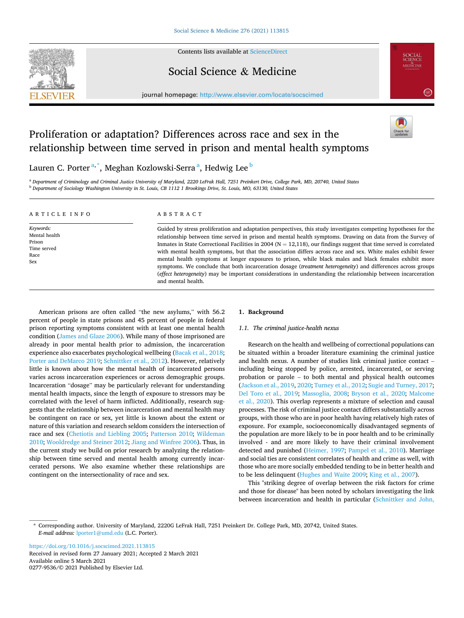

Contents lists available at [ScienceDirect](www.sciencedirect.com/science/journal/02779536)

## Social Science & Medicine

journal homepage: [http://www.elsevier.com/locate/socscimed](https://http://www.elsevier.com/locate/socscimed)



# Proliferation or adaptation? Differences across race and sex in the relationship between time served in prison and mental health symptoms

Lauren C. Porter $^{\mathrm{a},\mathrm{*}}$ , Meghan Kozlowski-Serra $^{\mathrm{a}}$ , Hedwig Lee $^{\mathrm{b}}$ 

<sup>a</sup> *Department of Criminology and Criminal Justice University of Maryland, 2220 LeFrak Hall, 7251 Preinkert Drive, College Park, MD, 20740, United States* <sup>b</sup> *Department of Sociology Washington University in St. Louis, CB 1112 1 Brookings Drive, St. Louis, MO, 63130, United States* 

| ARTICLE INFO                                                       | ABSTRACT                                                                                                                                                                                                                                                                                                                                                                                                                                                                                                                                                                                                                                                                                                                                                                                                                                           |
|--------------------------------------------------------------------|----------------------------------------------------------------------------------------------------------------------------------------------------------------------------------------------------------------------------------------------------------------------------------------------------------------------------------------------------------------------------------------------------------------------------------------------------------------------------------------------------------------------------------------------------------------------------------------------------------------------------------------------------------------------------------------------------------------------------------------------------------------------------------------------------------------------------------------------------|
| Keywords:<br>Mental health<br>Prison<br>Time served<br>Race<br>Sex | Guided by stress proliferation and adaptation perspectives, this study investigates competing hypotheses for the<br>relationship between time served in prison and mental health symptoms. Drawing on data from the Survey of<br>Inmates in State Correctional Facilities in 2004 ( $N = 12,118$ ), our findings suggest that time served is correlated<br>with mental health symptoms, but that the association differs across race and sex. White males exhibit fewer<br>mental health symptoms at longer exposures to prison, while black males and black females exhibit more<br>symptoms. We conclude that both incarceration dosage ( <i>treatment heterogeneity</i> ) and differences across groups<br>(effect heterogeneity) may be important considerations in understanding the relationship between incarceration<br>and mental health. |

American prisons are often called "the new asylums," with 56.2 percent of people in state prisons and 45 percent of people in federal prison reporting symptoms consistent with at least one mental health condition [\(James and Glaze 2006\)](#page-7-0). While many of those imprisoned are already in poor mental health prior to admission, the incarceration experience also exacerbates psychological wellbeing ([Bacak et al., 2018](#page-7-0); [Porter and DeMarco 2019; Schnittker et al., 2012\)](#page-8-0). However, relatively little is known about how the mental health of incarcerated persons varies across incarceration experiences or across demographic groups. Incarceration "dosage" may be particularly relevant for understanding mental health impacts, since the length of exposure to stressors may be correlated with the level of harm inflicted. Additionally, research suggests that the relationship between incarceration and mental health may be contingent on race or sex, yet little is known about the extent or nature of this variation and research seldom considers the intersection of race and sex ([Chetiotis and Liebling 2005](#page-7-0); [Patterson 2010;](#page-8-0) [Wildeman](#page-8-0)  [2010; Wooldredge and Steiner 2012](#page-8-0); [Jiang and Winfree 2006](#page-7-0)). Thus, in the current study we build on prior research by analyzing the relationship between time served and mental health among currently incarcerated persons. We also examine whether these relationships are contingent on the intersectionality of race and sex.

## **1. Background**

## *1.1. The criminal justice-health nexus*

Research on the health and wellbeing of correctional populations can be situated within a broader literature examining the criminal justice and health nexus. A number of studies link criminal justice contact – including being stopped by police, arrested, incarcerated, or serving probation or parole – to both mental and physical health outcomes ([Jackson et al., 2019, 2020;](#page-7-0) [Turney et al., 2012](#page-8-0); [Sugie and Turney, 2017](#page-8-0); [Del Toro et al., 2019;](#page-8-0) [Massoglia, 2008](#page-7-0); [Bryson et al., 2020](#page-7-0); [Malcome](#page-7-0)  [et al., 2020](#page-7-0)). This overlap represents a mixture of selection and causal processes. The risk of criminal justice contact differs substantially across groups, with those who are in poor health having relatively high rates of exposure. For example, socioeconomically disadvantaged segments of the population are more likely to be in poor health and to be criminally involved - and are more likely to have their criminal involvement detected and punished [\(Heimer, 1997](#page-7-0); [Pampel et al., 2010\)](#page-8-0). Marriage and social ties are consistent correlates of health and crime as well, with those who are more socially embedded tending to be in better health and to be less delinquent ([Hughes and Waite 2009;](#page-7-0) [King et al., 2007](#page-7-0)).

This "striking degree of overlap between the risk factors for crime and those for disease" has been noted by scholars investigating the link between incarceration and health in particular [\(Schnittker and John,](#page-8-0) 

\* Corresponding author. University of Maryland, 2220G LeFrak Hall, 7251 Preinkert Dr. College Park, MD, 20742, United States. *E-mail address:* [lporter1@umd.edu](mailto:lporter1@umd.edu) (L.C. Porter).

Available online 5 March 2021 0277-9536/© 2021 Published by Elsevier Ltd. <https://doi.org/10.1016/j.socscimed.2021.113815> Received in revised form 27 January 2021; Accepted 2 March 2021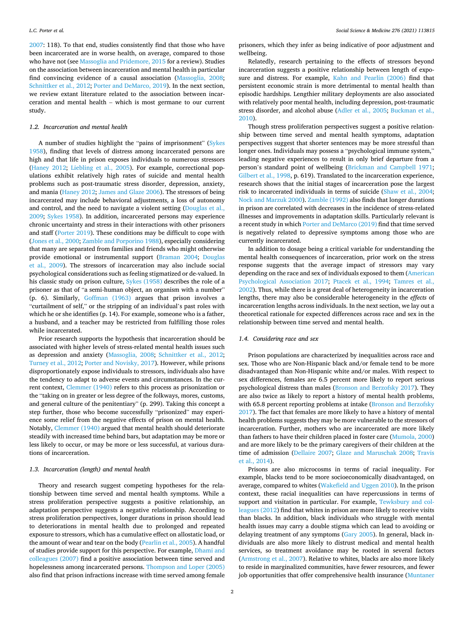[2007:](#page-8-0) 118). To that end, studies consistently find that those who have been incarcerated are in worse health, on average, compared to those who have not (see [Massoglia and Pridemore, 2015](#page-7-0) for a review). Studies on the association between incarceration and mental health in particular find convincing evidence of a causal association [\(Massoglia, 2008](#page-7-0); [Schnittker et al., 2012; Porter and DeMarco, 2019\)](#page-8-0). In the next section, we review extant literature related to the association between incarceration and mental health – which is most germane to our current study.

#### *1.2. Incarceration and mental health*

A number of studies highlight the "pains of imprisonment" ([Sykes](#page-8-0)  [1958\)](#page-8-0), finding that levels of distress among incarcerated persons are high and that life in prison exposes individuals to numerous stressors ([Haney 2012](#page-7-0); [Liebling et al., 2005\)](#page-7-0). For example, correctional populations exhibit relatively high rates of suicide and mental health problems such as post-traumatic stress disorder, depression, anxiety, and mania ([Haney 2012](#page-7-0); [James and Glaze 2006](#page-7-0)). The stressors of being incarcerated may include behavioral adjustments, a loss of autonomy and control, and the need to navigate a violent setting ([Douglas et al.,](#page-7-0)  [2009;](#page-7-0) [Sykes 1958\)](#page-8-0). In addition, incarcerated persons may experience chronic uncertainty and stress in their interactions with other prisoners and staff ([Porter 2019](#page-8-0)). These conditions may be difficult to cope with ([Jones et al., 2000;](#page-7-0) [Zamble and Porporino 1988](#page-8-0)), especially considering that many are separated from families and friends who might otherwise provide emotional or instrumental support [\(Braman 2004;](#page-7-0) [Douglas](#page-7-0)  [et al., 2009\)](#page-7-0). The stressors of incarceration may also include social psychological considerations such as feeling stigmatized or de-valued. In his classic study on prison culture, [Sykes \(1958\)](#page-8-0) describes the role of a prisoner as that of "a semi-human object, an organism with a number" (p. 6). Similarly, [Goffman \(1963\)](#page-7-0) argues that prison involves a "curtailment of self," or the stripping of an individual's past roles with which he or she identifies (p. 14). For example, someone who is a father, a husband, and a teacher may be restricted from fulfilling those roles while incarcerated.

Prior research supports the hypothesis that incarceration should be associated with higher levels of stress-related mental health issues such as depression and anxiety [\(Massoglia, 2008;](#page-7-0) [Schnittker et al., 2012](#page-8-0); [Turney et al., 2012](#page-8-0); [Porter and Novisky, 2017\)](#page-8-0). However, while prisons disproportionately expose individuals to stressors, individuals also have the tendency to adapt to adverse events and circumstances. In the current context, [Clemmer \(1940\)](#page-7-0) refers to this process as prisonization or the "taking on in greater or less degree of the folkways, mores, customs, and general culture of the penitentiary" (p. 299). Taking this concept a step further, those who become successfully "prisonized" may experience some relief from the negative effects of prison on mental health. Notably, [Clemmer \(1940\)](#page-7-0) argued that mental health should deteriorate steadily with increased time behind bars, but adaptation may be more or less likely to occur, or may be more or less successful, at various durations of incarceration.

#### *1.3. Incarceration (length) and mental health*

Theory and research suggest competing hypotheses for the relationship between time served and mental health symptoms. While a stress proliferation perspective suggests a positive relationship, an adaptation perspective suggests a negative relationship. According to stress proliferation perspectives, longer durations in prison should lead to deteriorations in mental health due to prolonged and repeated exposure to stressors, which has a cumulative effect on allostatic load, or the amount of wear and tear on the body [\(Pearlin et al., 2005\)](#page-8-0). A handful of studies provide support for this perspective. For example, [Dhami and](#page-7-0)  [colleagues \(2007\)](#page-7-0) find a positive association between time served and hopelessness among incarcerated persons. [Thompson and Loper \(2005\)](#page-8-0)  also find that prison infractions increase with time served among female

prisoners, which they infer as being indicative of poor adjustment and wellbeing.

Relatedly, research pertaining to the effects of stressors beyond incarceration suggests a positive relationship between length of exposure and distress. For example, [Kahn and Pearlin \(2006\)](#page-7-0) find that persistent economic strain is more detrimental to mental health than episodic hardships. Lengthier military deployments are also associated with relatively poor mental health, including depression, post-traumatic stress disorder, and alcohol abuse [\(Adler et al., 2005;](#page-7-0) [Buckman et al.,](#page-7-0)  [2010\)](#page-7-0).

Though stress proliferation perspectives suggest a positive relationship between time served and mental health symptoms, adaptation perspectives suggest that shorter sentences may be more stressful than longer ones. Individuals may possess a "psychological immune system," leading negative experiences to result in only brief departure from a person's standard point of wellbeing ([Brickman and Campbell 1971](#page-7-0); [Gilbert et al., 1998,](#page-7-0) p. 619). Translated to the incarceration experience, research shows that the initial stages of incarceration pose the largest risk to incarcerated individuals in terms of suicide ([Shaw et al., 2004](#page-8-0); [Nock and Marzuk 2000](#page-8-0)). [Zamble \(1992\)](#page-8-0) also finds that longer durations in prison are correlated with decreases in the incidence of stress-related illnesses and improvements in adaptation skills. Particularly relevant is a recent study in which [Porter and DeMarco \(2019\)](#page-8-0) find that time served is negatively related to depressive symptoms among those who are currently incarcerated.

In addition to dosage being a critical variable for understanding the mental health consequences of incarceration, prior work on the stress response suggests that the average impact of stressors may vary depending on the race and sex of individuals exposed to them ([American](#page-7-0)  [Psychological Association 2017](#page-7-0); [Ptacek et al., 1994](#page-8-0); [Tamres et al.,](#page-8-0)  [2002\)](#page-8-0). Thus, while there is a great deal of heterogeneity in incarceration lengths, there may also be considerable heterogeneity in the *effects* of incarceration lengths across individuals. In the next section, we lay out a theoretical rationale for expected differences across race and sex in the relationship between time served and mental health.

#### *1.4. Considering race and sex*

Prison populations are characterized by inequalities across race and sex. Those who are Non-Hispanic black and/or female tend to be more disadvantaged than Non-Hispanic white and/or males. With respect to sex differences, females are 6.5 percent more likely to report serious psychological distress than males [\(Bronson and Berzofsky 2017](#page-7-0)). They are also twice as likely to report a history of mental health problems, with 65.8 percent reporting problems at intake (Bronson and Berzofsky [2017\)](#page-7-0). The fact that females are more likely to have a history of mental health problems suggests they may be more vulnerable to the stressors of incarceration. Further, mothers who are incarcerated are more likely than fathers to have their children placed in foster care [\(Mumola, 2000\)](#page-8-0) and are more likely to be the primary caregivers of their children at the time of admission [\(Dellaire 2007](#page-7-0); [Glaze and Maruschak 2008](#page-7-0); [Travis](#page-8-0)  [et al., 2014\)](#page-8-0).

Prisons are also microcosms in terms of racial inequality. For example, blacks tend to be more socioeconomically disadvantaged, on average, compared to whites ([Wakefield and Uggen 2010](#page-8-0)). In the prison context, these racial inequalities can have repercussions in terms of support and visitation in particular. For example, [Tewksbury and col](#page-8-0)[leagues \(2012\)](#page-8-0) find that whites in prison are more likely to receive visits than blacks. In addition, black individuals who struggle with mental health issues may carry a double stigma which can lead to avoiding or delaying treatment of any symptoms ([Gary 2005\)](#page-7-0). In general, black individuals are also more likely to distrust medical and mental health services, so treatment avoidance may be rooted in several factors ([Armstrong et al., 2007](#page-7-0)). Relative to whites, blacks are also more likely to reside in marginalized communities, have fewer resources, and fewer job opportunities that offer comprehensive health insurance [\(Muntaner](#page-8-0)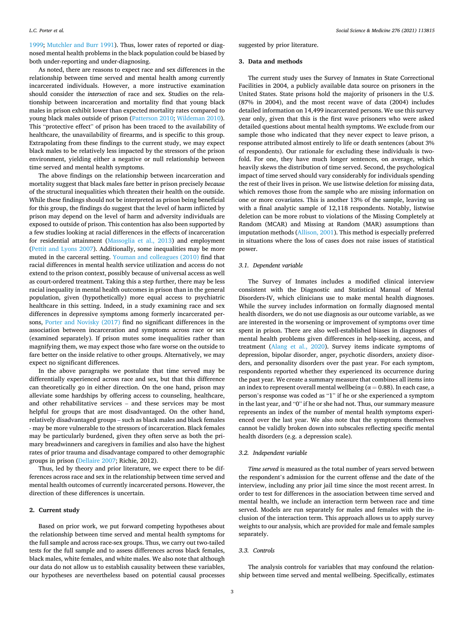[1999; Mutchler and Burr 1991\)](#page-8-0). Thus, lower rates of reported or diagnosed mental health problems in the black population could be biased by both under-reporting and under-diagnosing.

As noted, there are reasons to expect race and sex differences in the relationship between time served and mental health among currently incarcerated individuals. However, a more instructive examination should consider the *intersection* of race and sex. Studies on the relationship between incarceration and mortality find that young black males in prison exhibit lower than expected mortality rates compared to young black males outside of prison ([Patterson 2010; Wildeman 2010](#page-8-0)). This "protective effect" of prison has been traced to the availability of healthcare, the unavailability of firearms, and is specific to this group. Extrapolating from these findings to the current study, we may expect black males to be relatively less impacted by the stressors of the prison environment, yielding either a negative or null relationship between time served and mental health symptoms.

The above findings on the relationship between incarceration and mortality suggest that black males fare better in prison precisely *because*  of the structural inequalities which threaten their health on the outside. While these findings should not be interpreted as prison being beneficial for this group, the findings do suggest that the level of harm inflicted by prison may depend on the level of harm and adversity individuals are exposed to outside of prison. This contention has also been supported by a few studies looking at racial differences in the effects of incarceration for residential attainment [\(Massoglia et al., 2013\)](#page-7-0) and employment ([Pettit and Lyons 2007\)](#page-8-0). Additionally, some inequalities may be more muted in the carceral setting. [Youman and colleagues \(2010\)](#page-8-0) find that racial differences in mental health service utilization and access do not extend to the prison context, possibly because of universal access as well as court-ordered treatment. Taking this a step further, there may be less racial inequality in mental health outcomes in prison than in the general population, given (hypothetically) more equal access to psychiatric healthcare in this setting. Indeed, in a study examining race and sex differences in depressive symptoms among formerly incarcerated persons, [Porter and Novisky \(2017\)](#page-8-0) find no significant differences in the association between incarceration and symptoms across race or sex (examined separately). If prison mutes some inequalities rather than magnifying them, we may expect those who fare worse on the outside to fare better on the inside relative to other groups. Alternatively, we may expect no significant differences.

In the above paragraphs we postulate that time served may be differentially experienced across race and sex, but that this difference can theoretically go in either direction. On the one hand, prison may alleviate some hardships by offering access to counseling, healthcare, and other rehabilitative services – and these services may be most helpful for groups that are most disadvantaged. On the other hand, relatively disadvantaged groups – such as black males and black females - may be more vulnerable to the stressors of incarceration. Black females may be particularly burdened, given they often serve as both the primary breadwinners and caregivers in families and also have the highest rates of prior trauma and disadvantage compared to other demographic groups in prison ([Dellaire 2007;](#page-7-0) Richie, 2012).

Thus, led by theory and prior literature, we expect there to be differences across race and sex in the relationship between time served and mental health outcomes of currently incarcerated persons. However, the direction of these differences is uncertain.

#### **2. Current study**

Based on prior work, we put forward competing hypotheses about the relationship between time served and mental health symptoms for the full sample and across race-sex groups. Thus, we carry out two-tailed tests for the full sample and to assess differences across black females, black males, white females, and white males. We also note that although our data do not allow us to establish causality between these variables, our hypotheses are nevertheless based on potential causal processes

suggested by prior literature.

#### **3. Data and methods**

The current study uses the Survey of Inmates in State Correctional Facilities in 2004, a publicly available data source on prisoners in the United States. State prisons hold the majority of prisoners in the U.S. (87% in 2004), and the most recent wave of data (2004) includes detailed information on 14,499 incarcerated persons. We use this survey year only, given that this is the first wave prisoners who were asked detailed questions about mental health symptoms. We exclude from our sample those who indicated that they never expect to leave prison, a response attributed almost entirely to life or death sentences (about 3% of respondents). Our rationale for excluding these individuals is twofold. For one, they have much longer sentences, on average, which heavily skews the distribution of time served. Second, the psychological impact of time served should vary considerably for individuals spending the rest of their lives in prison. We use listwise deletion for missing data, which removes those from the sample who are missing information on one or more covariates. This is another 13% of the sample, leaving us with a final analytic sample of 12,118 respondents. Notably, listwise deletion can be more robust to violations of the Missing Completely at Random (MCAR) and Missing at Random (MAR) assumptions than imputation methods [\(Allison, 2001\)](#page-7-0). This method is especially preferred in situations where the loss of cases does not raise issues of statistical power.

#### *3.1. Dependent variable*

The Survey of Inmates includes a modified clinical interview consistent with the Diagnostic and Statistical Manual of Mental Disorders-IV, which clinicians use to make mental health diagnoses. While the survey includes information on formally diagnosed mental health disorders, we do not use diagnosis as our outcome variable, as we are interested in the worsening or improvement of symptoms over time spent in prison. There are also well-established biases in diagnoses of mental health problems given differences in help-seeking, access, and treatment [\(Alang et al., 2020](#page-7-0)). Survey items indicate symptoms of depression, bipolar disorder, anger, psychotic disorders, anxiety disorders, and personality disorders over the past year. For each symptom, respondents reported whether they experienced its occurrence during the past year. We create a summary measure that combines all items into an index to represent overall mental wellbeing ( $\alpha = 0.88$ ). In each case, a person's response was coded as "1" if he or she experienced a symptom in the last year, and "0" if he or she had not. Thus, our summary measure represents an index of the number of mental health symptoms experienced over the last year. We also note that the symptoms themselves cannot be validly broken down into subscales reflecting specific mental health disorders (e.g. a depression scale).

## *3.2. Independent variable*

*Time served* is measured as the total number of years served between the respondent's admission for the current offense and the date of the interview, including any prior jail time since the most recent arrest. In order to test for differences in the association between time served and mental health, we include an interaction term between race and time served. Models are run separately for males and females with the inclusion of the interaction term. This approach allows us to apply survey weights to our analysis, which are provided for male and female samples separately.

## *3.3. Controls*

The analysis controls for variables that may confound the relationship between time served and mental wellbeing. Specifically, estimates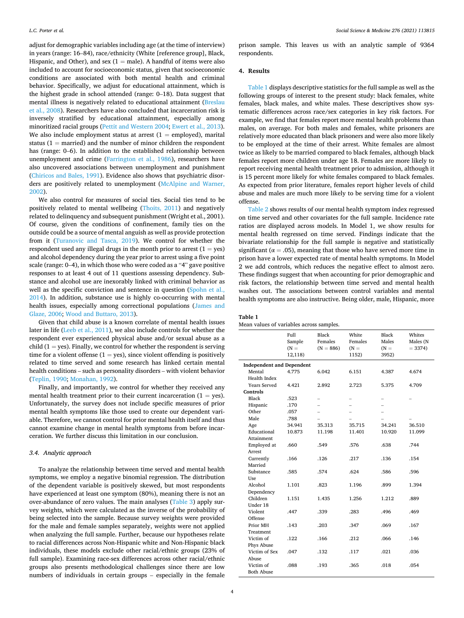adjust for demographic variables including age (at the time of interview) in years (range: 16–84), race/ethnicity (White [reference group], Black, Hispanic, and Other), and sex  $(1 = male)$ . A handful of items were also included to account for socioeconomic status, given that socioeconomic conditions are associated with both mental health and criminal behavior. Specifically, we adjust for educational attainment, which is the highest grade in school attended (range: 0–18). Data suggest that mental illness is negatively related to educational attainment ([Breslau](#page-7-0)  [et al., 2008\)](#page-7-0). Researchers have also concluded that incarceration risk is inversely stratified by educational attainment, especially among minoritized racial groups [\(Pettit and Western 2004;](#page-8-0) [Ewert et al., 2013](#page-7-0)). We also include employment status at arrest  $(1 = \text{employed})$ , marital status ( $1 =$  married) and the number of minor children the respondent has (range: 0–6). In addition to the established relationship between unemployment and crime ([Farrington et al., 1986](#page-7-0)), researchers have also uncovered associations between unemployment and punishment ([Chiricos and Bales, 1991](#page-7-0)). Evidence also shows that psychiatric disorders are positively related to unemployment [\(McAlpine and Warner,](#page-7-0)  [2002\)](#page-7-0).

We also control for measures of social ties. Social ties tend to be positively related to mental wellbeing [\(Thoits, 2011\)](#page-8-0) and negatively related to delinquency and subsequent punishment (Wright et al., 2001). Of course, given the conditions of confinement, family ties on the outside could be a source of mental anguish as well as provide protection from it ([Turanovic and Tasca, 2019](#page-8-0)). We control for whether the respondent used any illegal drugs in the month prior to arrest  $(1 = yes)$ and alcohol dependency during the year prior to arrest using a five point scale (range: 0–4), in which those who were coded as a "4" gave positive responses to at least 4 out of 11 questions assessing dependency. Substance and alcohol use are inexorably linked with criminal behavior as well as the specific conviction and sentence in question (Spohn et al., [2014\)](#page-8-0). In addition, substance use is highly co-occurring with mental health issues, especially among correctional populations [\(James and](#page-7-0)  [Glaze, 2006;](#page-7-0) [Wood and Buttaro, 2013\)](#page-8-0).

Given that child abuse is a known correlate of mental health issues later in life [\(Leeb et al., 2011\)](#page-7-0), we also include controls for whether the respondent ever experienced physical abuse and/or sexual abuse as a child ( $1 = yes$ ). Finally, we control for whether the respondent is serving time for a violent offense  $(1 = yes)$ , since violent offending is positively related to time served and some research has linked certain mental health conditions – such as personality disorders – with violent behavior ([Teplin, 1990;](#page-8-0) [Monahan, 1992\)](#page-7-0).

Finally, and importantly, we control for whether they received any mental health treatment prior to their current incarceration  $(1 = yes)$ . Unfortunately, the survey does not include specific measures of prior mental health symptoms like those used to create our dependent variable. Therefore, we cannot control for prior mental health itself and thus cannot examine change in mental health symptoms from before incarceration. We further discuss this limitation in our conclusion.

## *3.4. Analytic approach*

To analyze the relationship between time served and mental health symptoms, we employ a negative binomial regression. The distribution of the dependent variable is positively skewed, but most respondents have experienced at least one symptom (80%), meaning there is not an over-abundance of zero values. The main analyses [\(Table 3\)](#page-4-0) apply survey weights, which were calculated as the inverse of the probability of being selected into the sample. Because survey weights were provided for the male and female samples separately, weights were not applied when analyzing the full sample. Further, because our hypotheses relate to racial differences across Non-Hispanic white and Non-Hispanic black individuals, these models exclude other racial/ethnic groups (23% of full sample). Examining race-sex differences across other racial/ethnic groups also presents methodological challenges since there are low numbers of individuals in certain groups – especially in the female

prison sample. This leaves us with an analytic sample of 9364 respondents.

## **4. Results**

Table 1 displays descriptive statistics for the full sample as well as the following groups of interest to the present study: black females, white females, black males, and white males. These descriptives show systematic differences across race/sex categories in key risk factors. For example, we find that females report more mental health problems than males, on average. For both males and females, white prisoners are relatively more educated than black prisoners and were also more likely to be employed at the time of their arrest. White females are almost twice as likely to be married compared to black females, although black females report more children under age 18. Females are more likely to report receiving mental health treatment prior to admission, although it is 15 percent more likely for white females compared to black females. As expected from prior literature, females report higher levels of child abuse and males are much more likely to be serving time for a violent offense.

[Table 2](#page-4-0) shows results of our mental health symptom index regressed on time served and other covariates for the full sample. Incidence rate ratios are displayed across models. In Model 1, we show results for mental health regressed on time served. Findings indicate that the bivariate relationship for the full sample is negative and statistically significant ( $\alpha = .05$ ), meaning that those who have served more time in prison have a lower expected rate of mental health symptoms. In Model 2 we add controls, which reduces the negative effect to almost zero. These findings suggest that when accounting for prior demographic and risk factors, the relationship between time served and mental health washes out. The associations between control variables and mental health symptoms are also instructive. Being older, male, Hispanic, more

| Table |  |
|-------|--|
|-------|--|

|  |  |  | Mean values of variables across samples. |  |  |
|--|--|--|------------------------------------------|--|--|
|--|--|--|------------------------------------------|--|--|

|                                  | Full<br>Sample<br>$(N =$<br>12,118) | Black<br>Females<br>$(N = 886)$ | White<br>Females<br>$(N =$<br>1152) | Black<br>Males<br>$(N =$<br>3952) | Whites<br>Males (N<br>$= 3374$ |
|----------------------------------|-------------------------------------|---------------------------------|-------------------------------------|-----------------------------------|--------------------------------|
| <b>Independent and Dependent</b> |                                     |                                 |                                     |                                   |                                |
| Mental                           | 4.775                               | 6.042                           | 6.151                               | 4.387                             | 4.674                          |
| Health Index                     |                                     |                                 |                                     |                                   |                                |
| Years Served                     | 4.421                               | 2.892                           | 2.723                               | 5.375                             | 4.709                          |
| Controls                         |                                     |                                 |                                     |                                   |                                |
| Black                            | .523                                |                                 |                                     |                                   |                                |
| Hispanic                         | .170                                |                                 |                                     |                                   |                                |
| Other                            | .057                                |                                 |                                     |                                   |                                |
| Male                             | .788                                |                                 |                                     |                                   |                                |
| Age                              | 34.941                              | 35.313                          | 35.715                              | 34.241                            | 36.510                         |
| Educational                      | 10.873                              | 11.198                          | 11.401                              | 10.920                            | 11.099                         |
| Attainment                       |                                     |                                 |                                     |                                   |                                |
| Employed at                      | .660                                | .549                            | .576                                | .638                              | .744                           |
| Arrest                           |                                     |                                 |                                     |                                   |                                |
| Currently                        | .166                                | .126                            | .217                                | .136                              | .154                           |
| Married                          |                                     |                                 |                                     |                                   |                                |
| Substance                        | .585                                | .574                            | .624                                | .586                              | .596                           |
| Use                              |                                     |                                 |                                     |                                   |                                |
| Alcohol                          | 1.101                               | .823                            | 1.196                               | .899                              | 1.394                          |
| Dependency                       |                                     |                                 |                                     |                                   |                                |
| Children                         | 1.151                               | 1.435                           | 1.256                               | 1.212                             | .889                           |
| Under 18                         |                                     |                                 |                                     |                                   |                                |
| Violent                          | .447                                | .339                            | .283                                | .496                              | .469                           |
| Offense                          |                                     |                                 |                                     |                                   |                                |
| Prior MH                         | .143                                | .203                            | .347                                | .069                              | .167                           |
| Treatment                        |                                     |                                 |                                     |                                   |                                |
| Victim of                        | .122                                | .166                            | .212                                | .066                              | .146                           |
| Phys Abuse                       |                                     |                                 |                                     |                                   |                                |
| Victim of Sex<br>Abuse           | .047                                | .132                            | .117                                | .021                              | .036                           |
| Victim of                        | .088                                | .193                            | .365                                | .018                              | .054                           |
| <b>Both Abuse</b>                |                                     |                                 |                                     |                                   |                                |
|                                  |                                     |                                 |                                     |                                   |                                |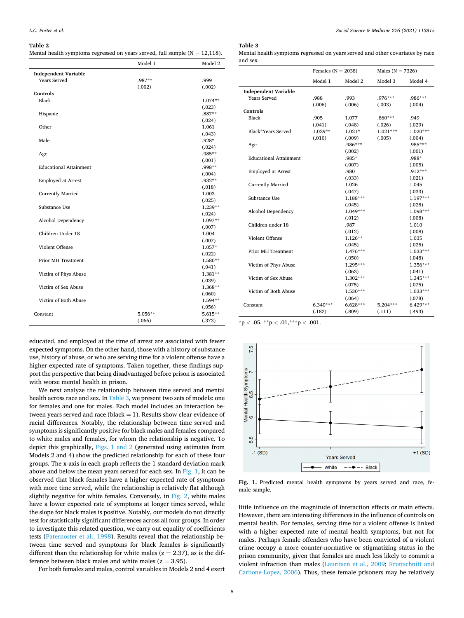#### <span id="page-4-0"></span>**Table 2**

Mental health symptoms regressed on years served, full sample  $(N = 12,118)$ .

|                               | Model 1 | Model 2          |
|-------------------------------|---------|------------------|
| <b>Independent Variable</b>   |         |                  |
| <b>Years Served</b>           | .987**  | .999             |
|                               | (.002)  | (.002)           |
| Controls                      |         |                  |
| Black                         |         | 1.074**          |
|                               |         | (.023)           |
| Hispanic                      |         | .887**           |
|                               |         | (.024)           |
| Other                         |         | 1.061            |
|                               |         | (.043)           |
| Male                          |         | .928*            |
|                               |         | (.024)           |
| Age                           |         | .985**           |
|                               |         | (.001)           |
| <b>Educational Attainment</b> |         | .998**           |
| <b>Employed at Arrest</b>     |         | (.004)<br>.932** |
|                               |         | (.018)           |
| <b>Currently Married</b>      |         | 1.003            |
|                               |         | (.025)           |
| Substance Use                 |         | 1.239**          |
|                               |         | (.024)           |
| Alcohol Dependency            |         | $1.097**$        |
|                               |         | (.007)           |
| Children Under 18             |         | 1.004            |
|                               |         | (.007)           |
| Violent Offense               |         | $1.057*$         |
|                               |         | (.022)           |
| <b>Prior MH Treatment</b>     |         | 1.580**          |
|                               |         | (.041)           |
| Victim of Phys Abuse          |         | $1.381**$        |
|                               |         | (.039)           |
| Victim of Sex Abuse           |         | 1.368**          |
|                               |         | (.060)           |
| Victim of Both Abuse          |         | 1.594**          |
|                               |         | (.056)           |
| Constant                      | 5.056** | 5.615**          |
|                               | (.066)  | (.373)           |
|                               |         |                  |

educated, and employed at the time of arrest are associated with fewer expected symptoms. On the other hand, those with a history of substance use, history of abuse, or who are serving time for a violent offense have a higher expected rate of symptoms. Taken together, these findings support the perspective that being disadvantaged before prison is associated with worse mental health in prison.

We next analyze the relationship between time served and mental health across race and sex. In Table 3, we present two sets of models: one for females and one for males. Each model includes an interaction between years served and race (black  $= 1$ ). Results show clear evidence of racial differences. Notably, the relationship between time served and symptoms is significantly positive for black males and females compared to white males and females, for whom the relationship is negative. To depict this graphically, Figs. 1 and 2 (generated using estimates from Models 2 and 4) show the predicted relationship for each of these four groups. The x-axis in each graph reflects the 1 standard deviation mark above and below the mean years served for each sex. In Fig. 1, it can be observed that black females have a higher expected rate of symptoms with more time served, while the relationship is relatively flat although slightly negative for white females. Conversely, in [Fig. 2,](#page-5-0) white males have a lower expected rate of symptoms at longer times served, while the slope for black males is positive. Notably, our models do not directly test for statistically significant differences across all four groups. In order to investigate this related question, we carry out equality of coefficients tests ([Paternoster et al., 1998\)](#page-8-0). Results reveal that the relationship between time served and symptoms for black females is significantly different than the relationship for white males ( $z = 2.37$ ), as is the difference between black males and white males ( $z = 3.95$ ).

For both females and males, control variables in Models 2 and 4 exert

## **Table 3**

| Mental health symptoms regressed on years served and other covariates by race |  |
|-------------------------------------------------------------------------------|--|
| and sex.                                                                      |  |

|                               | Females ( $N = 2038$ ) |            | Males ( $N = 7326$ ) |            |
|-------------------------------|------------------------|------------|----------------------|------------|
|                               | Model 1                | Model 2    | Model 3              | Model 4    |
| <b>Independent Variable</b>   |                        |            |                      |            |
| <b>Years Served</b>           | .988                   | .993       | .976***              | $.986***$  |
|                               | (.006)                 | (.006)     | (.003)               | (.004)     |
| Controls                      |                        |            |                      |            |
| Black                         | .905                   | 1.077      | .860***              | .949       |
|                               | (.041)                 | (.048)     | (.026)               | (.029)     |
| Black*Years Served            | $1.029**$              | $1.021*$   | $1.021***$           | $1.020***$ |
|                               | (.010)                 | (.009)     | (.005)               | (.004)     |
| Age                           |                        | $.986***$  |                      | .985***    |
|                               |                        | (.002)     |                      | (.001)     |
| <b>Educational Attainment</b> |                        | .985*      |                      | .988*      |
|                               |                        | (.007)     |                      | (.005)     |
| <b>Employed at Arrest</b>     |                        | .980       |                      | $.912***$  |
|                               |                        | (.033)     |                      | (.021)     |
| <b>Currently Married</b>      |                        | 1.026      |                      | 1.045      |
|                               |                        | (.047)     |                      | (.033)     |
| Substance Use                 |                        | $1.188***$ |                      | $1.197***$ |
|                               |                        | (.045)     |                      | (.028)     |
| Alcohol Dependency            |                        | $1.049***$ |                      | $1.098***$ |
|                               |                        | (.012)     |                      | (.008)     |
| Children under 18             |                        | .987       |                      | 1.010      |
|                               |                        | (.012)     |                      | (.008)     |
| Violent Offense               |                        | $1.126**$  |                      | 1.035      |
|                               |                        | (.045)     |                      | (.025)     |
| <b>Prior MH Treatment</b>     |                        | $1.476***$ |                      | $1.633***$ |
|                               |                        | (.050)     |                      | (.048)     |
| Victim of Phys Abuse          |                        | $1.295***$ |                      | 1.356***   |
|                               |                        | (.063)     |                      | (.041)     |
| Victim of Sex Abuse           |                        | 1.302***   |                      | $1.345***$ |
|                               |                        | (.075)     |                      | (.075)     |
| Victim of Both Abuse          |                        | 1.530***   |                      | $1.633***$ |
|                               |                        | (.064)     |                      | (.078)     |
| Constant                      | 6.340***               | $6.628***$ | $5.204***$           | $6.429***$ |
|                               | (.182)                 | (.809)     | (.111)               | (.493)     |

\*p *<* .05, \*\*p *<* .01,\*\*\*p *<* .001.



**Fig. 1.** Predicted mental health symptoms by years served and race, female sample.

little influence on the magnitude of interaction effects or main effects. However, there are interesting differences in the influence of controls on mental health. For females, serving time for a violent offense is linked with a higher expected rate of mental health symptoms, but not for males. Perhaps female offenders who have been convicted of a violent crime occupy a more counter-normative or stigmatizing status in the prison community, given that females are much less likely to commit a violent infraction than males ([Lauritsen et al., 2009](#page-7-0); [Kruttschnitt and](#page-7-0)  [Carbone-Lopez, 2006](#page-7-0)). Thus, these female prisoners may be relatively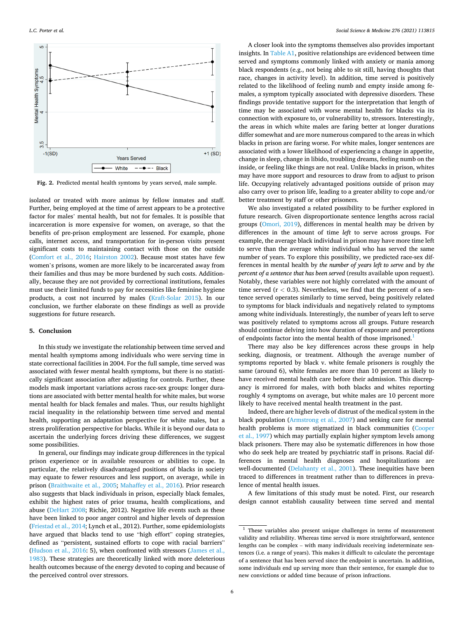<span id="page-5-0"></span>

**Fig. 2.** Predicted mental health symtoms by years served, male sample.

isolated or treated with more animus by fellow inmates and staff. Further, being employed at the time of arrest appears to be a protective factor for males' mental health, but not for females. It is possible that incarceration is more expensive for women, on average, so that the benefits of pre-prison employment are lessened. For example, phone calls, internet access, and transportation for in-person visits present significant costs to maintaining contact with those on the outside ([Comfort et al., 2016](#page-7-0); [Hairston 2002](#page-7-0)). Because most states have few women's prisons, women are more likely to be incarcerated away from their families and thus may be more burdened by such costs. Additionally, because they are not provided by correctional institutions, females must use their limited funds to pay for necessities like feminine hygiene products, a cost not incurred by males [\(Kraft-Solar 2015\)](#page-7-0). In our conclusion, we further elaborate on these findings as well as provide suggestions for future research.

#### **5. Conclusion**

In this study we investigate the relationship between time served and mental health symptoms among individuals who were serving time in state correctional facilities in 2004. For the full sample, time served was associated with fewer mental health symptoms, but there is no statistically significant association after adjusting for controls. Further, these models mask important variations across race-sex groups: longer durations are associated with better mental health for white males, but worse mental health for black females and males. Thus, our results highlight racial inequality in the relationship between time served and mental health, supporting an adaptation perspective for white males, but a stress proliferation perspective for blacks. While it is beyond our data to ascertain the underlying forces driving these differences, we suggest some possibilities.

In general, our findings may indicate group differences in the typical prison experience or in available resources or abilities to cope. In particular, the relatively disadvantaged positions of blacks in society may equate to fewer resources and less support, on average, while in prison [\(Braithwaite et al., 2005;](#page-7-0) [Mahaffey et al., 2016\)](#page-7-0). Prior research also suggests that black individuals in prison, especially black females, exhibit the highest rates of prior trauma, health complications, and abuse ([DeHart 2008;](#page-7-0) Richie, 2012). Negative life events such as these have been linked to poor anger control and higher levels of depression ([Friestad et al., 2014;](#page-7-0) Lynch et al., 2012). Further, some epidemiologists have argued that blacks tend to use "high effort" coping strategies, defined as "persistent, sustained efforts to cope with racial barriers" ([Hudson et al., 2016:](#page-7-0) 5), when confronted with stressors [\(James et al.,](#page-7-0)  [1983\)](#page-7-0). These strategies are theoretically linked with more deleterious health outcomes because of the energy devoted to coping and because of the perceived control over stressors.

A closer look into the symptoms themselves also provides important insights. In [Table A1,](#page-6-0) positive relationships are evidenced between time served and symptoms commonly linked with anxiety or mania among black respondents (e.g., not being able to sit still, having thoughts that race, changes in activity level). In addition, time served is positively related to the likelihood of feeling numb and empty inside among females, a symptom typically associated with depressive disorders. These findings provide tentative support for the interpretation that length of time may be associated with worse mental health for blacks via its connection with exposure to, or vulnerability to, stressors. Interestingly, the areas in which white males are faring better at longer durations differ somewhat and are more numerous compared to the areas in which blacks in prison are faring worse. For white males, longer sentences are associated with a lower likelihood of experiencing a change in appetite, change in sleep, change in libido, troubling dreams, feeling numb on the inside, or feeling like things are not real. Unlike blacks in prison, whites may have more support and resources to draw from to adjust to prison life. Occupying relatively advantaged positions outside of prison may also carry over to prison life, leading to a greater ability to cope and/or better treatment by staff or other prisoners.

We also investigated a related possibility to be further explored in future research. Given disproportionate sentence lengths across racial groups [\(Omori, 2019](#page-8-0)), differences in mental health may be driven by differences in the amount of time *left* to serve across groups. For example, the average black individual in prison may have more time left to serve than the average white individual who has served the same number of years. To explore this possibility, we predicted race-sex differences in mental health by *the number of years left to serve* and by *the percent of a sentence that has been served (results available upon request).* Notably, these variables were not highly correlated with the amount of time served (r *<* 0.3). Nevertheless, we find that the percent of a sentence served operates similarly to time served, being positively related to symptoms for black individuals and negatively related to symptoms among white individuals. Interestingly, the number of years left to serve was positively related to symptoms across all groups. Future research should continue delving into how duration of exposure and perceptions of endpoints factor into the mental health of those imprisoned.<sup>1</sup>

There may also be key differences across these groups in help seeking, diagnosis, or treatment. Although the average number of symptoms reported by black v. white female prisoners is roughly the same (around 6), white females are more than 10 percent as likely to have received mental health care before their admission. This discrepancy is mirrored for males, with both blacks and whites reporting roughly 4 symptoms on average, but white males are 10 percent more likely to have received mental health treatment in the past.

Indeed, there are higher levels of distrust of the medical system in the black population ([Armstrong et al., 2007\)](#page-7-0) and seeking care for mental health problems is more stigmatized in black communities ([Cooper](#page-7-0)  [et al., 1997](#page-7-0)) which may partially explain higher symptom levels among black prisoners. There may also be systematic differences in how those who do seek help are treated by psychiatric staff in prisons. Racial differences in mental health diagnoses and hospitalizations are well-documented [\(Delahanty et al., 2001](#page-7-0)). These inequities have been traced to differences in treatment rather than to differences in prevalence of mental health issues.

A few limitations of this study must be noted. First, our research design cannot establish causality between time served and mental

<sup>1</sup> These variables also present unique challenges in terms of measurement validity and reliability. Whereas time served is more straightforward, sentence lengths can be complex – with many individuals receiving indeterminate sentences (i.e. a range of years). This makes it difficult to calculate the percentage of a sentence that has been served since the endpoint is uncertain. In addition, some individuals end up serving more than their sentence, for example due to new convictions or added time because of prison infractions.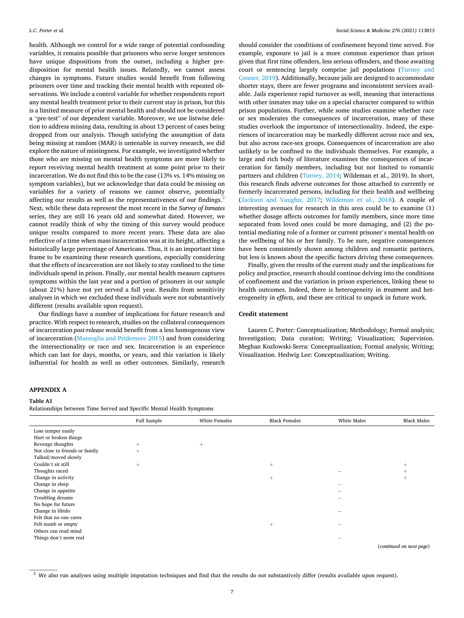<span id="page-6-0"></span>health. Although we control for a wide range of potential confounding variables, it remains possible that prisoners who serve longer sentences have unique dispositions from the outset, including a higher predisposition for mental health issues. Relatedly, we cannot assess changes in symptoms. Future studies would benefit from following prisoners over time and tracking their mental health with repeated observations. We include a control variable for whether respondents report any mental health treatment prior to their current stay in prison, but this is a limited measure of prior mental health and should not be considered a "pre-test" of our dependent variable. Moreover, we use listwise deletion to address missing data, resulting in about 13 percent of cases being dropped from our analysis. Though satisfying the assumption of data being missing at random (MAR) is untenable in survey research, we did explore the nature of missingness. For example, we investigated whether those who are missing on mental health symptoms are more likely to report receiving mental health treatment at some point prior to their incarceration. We do not find this to be the case (13% vs. 14% missing on symptom variables), but we acknowledge that data could be missing on variables for a variety of reasons we cannot observe, potentially affecting our results as well as the representativeness of our findings.<sup>2</sup> Next, while these data represent the most recent in the *Survey of Inmates*  series, they are still 16 years old and somewhat dated. However, we cannot readily think of why the timing of this survey would produce unique results compared to more recent years. These data are also reflective of a time when mass incarceration was at its height, affecting a historically large percentage of Americans. Thus, it is an important time frame to be examining these research questions, especially considering that the effects of incarceration are not likely to stay confined to the time individuals spend in prison. Finally, our mental health measure captures symptoms within the last year and a portion of prisoners in our sample (about 21%) have not yet served a full year. Results from sensitivity analyses in which we excluded these individuals were not substantively different (results available upon request).

Our findings have a number of implications for future research and practice. With respect to research, studies on the collateral consequences of incarceration *post-release* would benefit from a less homogenous view of incarceration ([Massoglia and Pridemore 2015](#page-7-0)) and from considering the intersectionality or race and sex. Incarceration is an experience which can last for days, months, or years, and this variation is likely influential for health as well as other outcomes. Similarly, research

should consider the conditions of confinement beyond time served. For example, exposure to jail is a more common experience than prison given that first time offenders, less serious offenders, and those awaiting court or sentencing largely comprise jail populations ([Turney and](#page-8-0)  [Conner, 2019\)](#page-8-0). Additionally, because jails are designed to accommodate shorter stays, there are fewer programs and inconsistent services available. Jails experience rapid turnover as well, meaning that interactions with other inmates may take on a special character compared to within prison populations. Further, while some studies examine whether race or sex moderates the consequences of incarceration, many of these studies overlook the importance of intersectionality. Indeed, the experiences of incarceration may be markedly different across race and sex, but also across race-sex groups. Consequences of incarceration are also unlikely to be confined to the individuals themselves. For example, a large and rich body of literature examines the consequences of incarceration for family members, including but not limited to romantic partners and children [\(Turney, 2014](#page-8-0); Wildeman et al., 2019). In short, this research finds adverse outcomes for those attached to currently or formerly incarcerated persons, including for their health and wellbeing ([Jackson and Vaughn, 2017;](#page-7-0) [Wildeman et al., 2018](#page-8-0)). A couple of interesting avenues for research in this area could be to examine (1) whether dosage affects outcomes for family members, since more time separated from loved ones could be more damaging, and (2) the potential mediating role of a former or current prisoner's mental health on the wellbeing of his or her family. To be sure, negative consequences have been consistently shown among children and romantic partners, but less is known about the specific factors driving these consequences.

Finally, given the results of the current study and the implications for policy and practice, research should continue delving into the conditions of confinement and the variation in prison experiences, linking these to health outcomes. Indeed, there is heterogeneity in *treatment* and heterogeneity in *effects*, and these are critical to unpack in future work.

## **Credit statement**

Lauren C. Porter: Conceptualization; Methodology; Formal analysis; Investigation; Data curation; Writing; Visualization; Supervision. Meghan Kozlowski-Serra: Conceptualization; Formal analysis; Writing; Visualization. Hedwig Lee: Conceptualization; Writing.

## **APPENDIX A**

#### **Table A1**

Relationships between Time Served and Specific Mental Health Symptoms

|                                | Full Sample | White Females | <b>Black Females</b> | White Males              | <b>Black Males</b>            |
|--------------------------------|-------------|---------------|----------------------|--------------------------|-------------------------------|
| Lose temper easily             |             |               |                      |                          |                               |
| Hurt or broken things          |             |               |                      |                          |                               |
| Revenge thoughts               | $^{+}$      | $^{+}$        |                      |                          |                               |
| Not close to friends or family | $+$         |               |                      |                          |                               |
| Talked/moved slowly            |             |               |                      |                          |                               |
| Couldn't sit still             | $^{+}$      |               | $^{+}$               |                          | $^{+}$                        |
| Thoughts raced                 |             |               |                      |                          | $^{+}$                        |
| Change in activity             |             |               | $^{+}$               |                          | $^{+}$                        |
| Change in sleep                |             |               |                      | $\overline{\phantom{a}}$ |                               |
| Change in appetite             |             |               |                      |                          |                               |
| Troubling dreams               |             |               |                      |                          |                               |
| No hope for future             |             |               |                      |                          |                               |
| Change in libido               |             |               |                      |                          |                               |
| Felt that no one cares         |             |               |                      |                          |                               |
| Felt numb or empty             |             |               | $^{+}$               |                          |                               |
| Others can read mind           |             |               |                      |                          |                               |
| Things don't seem real         |             |               |                      | -                        |                               |
|                                |             |               |                      |                          | Constanting and annual month. |

(*continued on next page*)

<sup>&</sup>lt;sup>2</sup> We also run analyses using multiple imputation techniques and find that the results do not substantively differ (results available upon request).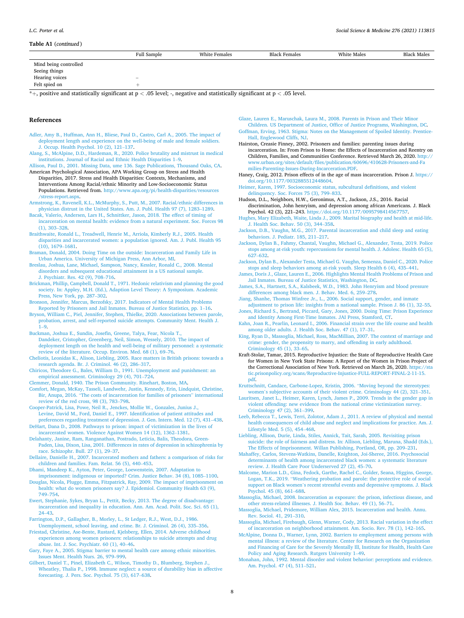## <span id="page-7-0"></span>**Table A1** (*continued* )

|                       | Full Sample              | White Females | <b>Black Females</b> | White Males | <b>Black Males</b> |
|-----------------------|--------------------------|---------------|----------------------|-------------|--------------------|
| Mind being controlled |                          |               |                      |             |                    |
| Seeing things         |                          |               |                      |             |                    |
| Hearing voices        | $\overline{\phantom{a}}$ |               |                      |             |                    |
| Felt spied on         |                          |               |                      |             |                    |

\*+, positive and statistically significant at p *<* .05 level; -, negative and statistically significant at p *<* .05 level.

#### **References**

- [Adler, Amy B., Huffman, Ann H., Bliese, Paul D., Castro, Carl A., 2005. The impact of](http://refhub.elsevier.com/S0277-9536(21)00147-7/sref1) [deployment length and experience on the well-being of male and female soldiers.](http://refhub.elsevier.com/S0277-9536(21)00147-7/sref1) [J. Occup. Health Psychol. 10 \(2\), 121](http://refhub.elsevier.com/S0277-9536(21)00147-7/sref1)–137.
- [Alang, S., McAlpine, D.D., Hardeman, R., 2020. Police brutality and mistrust in medical](http://refhub.elsevier.com/S0277-9536(21)00147-7/sref2)  [institutions. Journal of Racial and Ethnic Health Disparities 1](http://refhub.elsevier.com/S0277-9536(21)00147-7/sref2)–9.
- [Allison, Paul D., 2001. Missing Data, ume 136. Sage Publications, Thousand Oaks, CA](http://refhub.elsevier.com/S0277-9536(21)00147-7/sref3). American Psychological Association, APA Working Group on Stress and Health Disparities, 2017. Stress and Health Disparities: Contexts, Mechanisms, and Interventions Among Racial/ethnic Minority and Low-Socioeconomic Status Populations. Retrieved from. [http://www.apa.org/pi/health-disparities/resources](http://www.apa.org/pi/health-disparities/resources/stress-report.aspx)  [/stress-report.aspx.](http://www.apa.org/pi/health-disparities/resources/stress-report.aspx)
- [Armstrong, K., Ravenell, K.L., McMurphy, S., Putt, M., 2007. Racial/ethnic differences in](http://refhub.elsevier.com/S0277-9536(21)00147-7/sref5)  [physician distrust in the United States. Am. J. Publ. Health 97 \(7\), 1283](http://refhub.elsevier.com/S0277-9536(21)00147-7/sref5)–1289.
- [Bacak, Valerio, Andersen, Lars H., Schnittker, Jason, 2018. The effect of timing of](http://refhub.elsevier.com/S0277-9536(21)00147-7/sref6) [incarceration on mental health: evidence from a natural experiment. Soc. Forces 98](http://refhub.elsevier.com/S0277-9536(21)00147-7/sref6)  [\(1\), 303](http://refhub.elsevier.com/S0277-9536(21)00147-7/sref6)–328.
- [Braithwaite, Ronald L., Treadwell, Henrie M., Arriola, Kimberly R.J., 2005. Health](http://refhub.elsevier.com/S0277-9536(21)00147-7/sref7)  [disparities and incarcerated women: a population ignored. Am. J. Publ. Health 95](http://refhub.elsevier.com/S0277-9536(21)00147-7/sref7)  [\(10\), 1679](http://refhub.elsevier.com/S0277-9536(21)00147-7/sref7)–1681.
- [Braman, Donald, 2004. Doing Time on the outside: Incarceration and Family Life in](http://refhub.elsevier.com/S0277-9536(21)00147-7/sref8)  [Urban America. University of Michigan Press, Ann Arbor, MI.](http://refhub.elsevier.com/S0277-9536(21)00147-7/sref8)
- [Breslau, Joshua, Lane, Michael, Sampson, Nancy, Kessler, Ronald C., 2008. Mental](http://refhub.elsevier.com/S0277-9536(21)00147-7/sref9)  [disorders and subsequent educational attainment in a US national sample.](http://refhub.elsevier.com/S0277-9536(21)00147-7/sref9) [J. Psychiatr. Res. 42 \(9\), 708](http://refhub.elsevier.com/S0277-9536(21)00147-7/sref9)–716.
- [Brickman, Phillip, Campbell, Donald T., 1971. Hedonic relativism and planning the good](http://refhub.elsevier.com/S0277-9536(21)00147-7/sref10)  [society. In: Appley, M.H. \(Ed.\), Adaption Level Theory: A Symposium. Academic](http://refhub.elsevier.com/S0277-9536(21)00147-7/sref10)  [Press, New York, pp. 287](http://refhub.elsevier.com/S0277-9536(21)00147-7/sref10)–302.
- [Bronson, Jennifer, Marcus, Berzofsky, 2017. Indicators of Mental Health Problems](http://refhub.elsevier.com/S0277-9536(21)00147-7/sref11) [Reported by Prisoners and Jail Inmates. Bureau of Justice Statistics, pp. 1](http://refhub.elsevier.com/S0277-9536(21)00147-7/sref11)–16.
- [Bryson, William C., Piel, Jennifer, Stephen, Thielke, 2020. Associations between parole,](http://refhub.elsevier.com/S0277-9536(21)00147-7/sref12)  [probation, arrest, and self-reported suicide attempts. Community Ment. Health J.](http://refhub.elsevier.com/S0277-9536(21)00147-7/sref12)   $1 - Q$
- [Buckman, Joshua E., Sundin, Josefin, Greene, Talya, Fear, Nicola T.,](http://refhub.elsevier.com/S0277-9536(21)00147-7/sref13) [Dandeker, Cristopher, Greenberg, Neil, Simon, Wessely, 2010. The impact of](http://refhub.elsevier.com/S0277-9536(21)00147-7/sref13)  [deployment length on the health and well-being of military personnel: a systematic](http://refhub.elsevier.com/S0277-9536(21)00147-7/sref13)  [review of the literature. Occup. Environ. Med. 68 \(1\), 69](http://refhub.elsevier.com/S0277-9536(21)00147-7/sref13)–76.
- [Cheliotis, Leonidas K., Alison, Liebling, 2005. Race matters in British prisons: towards a](http://refhub.elsevier.com/S0277-9536(21)00147-7/sref14)  [research agenda. Br. J. Criminol. 46 \(2\), 286](http://refhub.elsevier.com/S0277-9536(21)00147-7/sref14)–317.
- [Chiricos, Theodore G., Bales, William D., 1991. Unemployment and punishment: an](http://refhub.elsevier.com/S0277-9536(21)00147-7/sref15)  [empirical assessment. Criminology 29 \(4\), 701](http://refhub.elsevier.com/S0277-9536(21)00147-7/sref15)–724.

[Clemmer, Donald, 1940. The Prison Community. Rinehart, Boston, MA](http://refhub.elsevier.com/S0277-9536(21)00147-7/sref16).

- [Comfort, Megan, McKay, Tasseli, Landwehr, Justin, Kennedy, Erin, Lindquist, Christine,](http://refhub.elsevier.com/S0277-9536(21)00147-7/sref17)  Bir, Anupa, 2016. "[The costs of incarceration for families of prisoners](http://refhub.elsevier.com/S0277-9536(21)00147-7/sref17)" international [review of the red cross, 98 \(3\), 783](http://refhub.elsevier.com/S0277-9536(21)00147-7/sref17)–798.
- [Cooper-Patrick, Lisa, Powe, Neil R., Jenckes, Mollie W., Gonzales, Junius J.,](http://refhub.elsevier.com/S0277-9536(21)00147-7/sref18) [Levine, David M., Ford, Daniel E., 1997. Identification of patient attitudes and](http://refhub.elsevier.com/S0277-9536(21)00147-7/sref18)  [preferences regarding treatment of depression. J. Gen. Intern. Med. 12 \(7\), 431](http://refhub.elsevier.com/S0277-9536(21)00147-7/sref18)–438.
- [DeHart, Dana D., 2008. Pathways to prison: impact of victimization in the lives of](http://refhub.elsevier.com/S0277-9536(21)00147-7/sref19)  [incarcerated women. Violence Against Women 14 \(12\), 1362](http://refhub.elsevier.com/S0277-9536(21)00147-7/sref19)–1381. [Delahanty, Janine, Ram, Ranganathan, Postrado, Leticia, Balis, Theodora, Green-](http://refhub.elsevier.com/S0277-9536(21)00147-7/sref20)
- [Paden, Lisa, Dixon, Lisa, 2001. Differences in rates of depression in schizophrenia by](http://refhub.elsevier.com/S0277-9536(21)00147-7/sref20)  [race. Schizophr. Bull. 27 \(1\), 29](http://refhub.elsevier.com/S0277-9536(21)00147-7/sref20)–37.
- [Dellaire, Danielle H., 2007. Incarcerated mothers and fathers: a comparison of risks for](http://refhub.elsevier.com/S0277-9536(21)00147-7/sref21)  [children and families. Fam. Relat. 56 \(5\), 440](http://refhub.elsevier.com/S0277-9536(21)00147-7/sref21)–453.
- [Dhami, Mandeep K., Ayton, Peter, George, Loewenstein, 2007. Adaptation to](http://refhub.elsevier.com/S0277-9536(21)00147-7/sref22) [imprisonment: indigenous or imported? Crim. Justice Behav. 34 \(8\), 1085](http://refhub.elsevier.com/S0277-9536(21)00147-7/sref22)–1100.
- [Douglas, Nicola, Plugge, Emma, Fitzpatrick, Ray, 2009. The impact of imprisonment on](http://refhub.elsevier.com/S0277-9536(21)00147-7/sref23)  [health: what do women prisoners say? J. Epidemiol. Community Health 63 \(9\),](http://refhub.elsevier.com/S0277-9536(21)00147-7/sref23)  749–[754](http://refhub.elsevier.com/S0277-9536(21)00147-7/sref23).
- [Ewert, Stephanie, Sykes, Bryan L., Pettit, Becky, 2013. The degree of disadvantage:](http://refhub.elsevier.com/S0277-9536(21)00147-7/sref24) [incarceration and inequality in education. Ann. Am. Acad. Polit. Soc. Sci. 65 \(1\),](http://refhub.elsevier.com/S0277-9536(21)00147-7/sref24)  24–[43](http://refhub.elsevier.com/S0277-9536(21)00147-7/sref24).
- [Farrington, D.P., Gallagher, B., Morley, L., St Ledger, R.J., West, D.J., 1986.](http://refhub.elsevier.com/S0277-9536(21)00147-7/sref25)  [Unemployment, school leaving, and crime. Br. J. Criminol. 26 \(4\), 335](http://refhub.elsevier.com/S0277-9536(21)00147-7/sref25)–356.
- [Friestad, Christine, Ase-Bente, Rustard, Kjelsberg, Ellen, 2014. Adverse childhood](http://refhub.elsevier.com/S0277-9536(21)00147-7/sref26) [experiences among women prisoners: relationships to suicide attempts and drug](http://refhub.elsevier.com/S0277-9536(21)00147-7/sref26) [abuse. Int. J. Soc. Psychiatr. 60 \(1\), 40](http://refhub.elsevier.com/S0277-9536(21)00147-7/sref26)–46.
- [Gary, Faye A., 2005. Stigma: barrier to mental health care among ethnic minorities.](http://refhub.elsevier.com/S0277-9536(21)00147-7/sref27)  [Issues Ment. Health Nurs. 26, 979](http://refhub.elsevier.com/S0277-9536(21)00147-7/sref27)–999.
- [Gilbert, Daniel T., Pinel, Elizabeth C., Wilson, Timothy D., Blumberg, Stephen J.,](http://refhub.elsevier.com/S0277-9536(21)00147-7/sref28) [Wheatley, Thalia P., 1998. Immune neglect: a source of durability bias in affective](http://refhub.elsevier.com/S0277-9536(21)00147-7/sref28)  [forecasting. J. Pers. Soc. Psychol. 75 \(3\), 617](http://refhub.elsevier.com/S0277-9536(21)00147-7/sref28)–638.
- [Glaze, Lauren E., Maruschak, Laura M., 2008. Parents in Prison and Their Minor](http://refhub.elsevier.com/S0277-9536(21)00147-7/sref29)  [Children. US Department of Justice, Office of Justice Programs, Washington, DC.](http://refhub.elsevier.com/S0277-9536(21)00147-7/sref29)
- [Goffman, Erving, 1963. Stigma: Notes on the Management of Spoiled Identity. Prentice-](http://refhub.elsevier.com/S0277-9536(21)00147-7/sref30)[Hall, Englewood Cliffs, NJ.](http://refhub.elsevier.com/S0277-9536(21)00147-7/sref30)
- Hairston, Creasie Finney, 2002. Prisoners and families: parenting issues during incarceration. In: From Prison to Home: the Effects of Incarceration and Reentry on Children, Families, and Communities Conference. Retrieved March 26, 2020. [http://](http://www.urban.org/sites/default/files/publication/60696/410628-Prisoners-and-Families-Parenting-Issues-During-Incarceration.PDF)  [www.urban.org/sites/default/files/publication/60696/410628-Prisoners-and-Fa](http://www.urban.org/sites/default/files/publication/60696/410628-Prisoners-and-Families-Parenting-Issues-During-Incarceration.PDF)  [milies-Parenting-Issues-During-Incarceration.PDF.](http://www.urban.org/sites/default/files/publication/60696/410628-Prisoners-and-Families-Parenting-Issues-During-Incarceration.PDF)
- Haney, Craig, 2012. Prison effects of in the age of mass incarceration. Prison J. [https://](https://doi.org/10.1177/0032885512448604)  [doi.org/10.1177/0032885512448604.](https://doi.org/10.1177/0032885512448604)
- [Heimer, Karen, 1997. Socioeconomic status, subcultural definitions, and violent](http://refhub.elsevier.com/S0277-9536(21)00147-7/sref33) [delinquency. Soc. Forces 75 \(3\), 799](http://refhub.elsevier.com/S0277-9536(21)00147-7/sref33)–833.
- Hudson, D.L., Neighbors, H.W., Geronimus, A.T., Jackson, J.S., 2016. Racial discrimination, John henryism, and depression among african Americans. J. Black Psychol. 42 (3), 221–243. [https://doi.org/10.1177/0095798414567757.](https://doi.org/10.1177/0095798414567757)
- [Hughes, Mary Elizabeth, Waite, Linda J., 2009. Marital biography and health at mid-life.](http://refhub.elsevier.com/S0277-9536(21)00147-7/sref35)  [J. Health Soc. Behav. 50 \(3\), 344](http://refhub.elsevier.com/S0277-9536(21)00147-7/sref35)–358.
- [Jackson, D.B., Vaughn, M.G., 2017. Parental incarceration and child sleep and eating](http://refhub.elsevier.com/S0277-9536(21)00147-7/sref36) [behaviors. J. Pediatr. 185, 211](http://refhub.elsevier.com/S0277-9536(21)00147-7/sref36)–217.
- [Jackson, Dylan B., Fahmy, Chantal, Vaughn, Michael G., Alexander, Testa, 2019. Police](http://refhub.elsevier.com/S0277-9536(21)00147-7/sref37)  [stops among at-risk youth: repercussions for mental health. J. Adolesc. Health 65 \(5\),](http://refhub.elsevier.com/S0277-9536(21)00147-7/sref37)  627–[632](http://refhub.elsevier.com/S0277-9536(21)00147-7/sref37).
- [Jackson, Dylan B., Alexander Testa, Michael G. Vaughn, Semenza, Daniel C., 2020. Police](http://refhub.elsevier.com/S0277-9536(21)00147-7/sref38)  [stops and sleep behaviors among at-risk youth. Sleep Health 6 \(4\), 435](http://refhub.elsevier.com/S0277-9536(21)00147-7/sref38)–441.
- [James, Doris J., Glaze, Lauren E., 2006. Highlights Mental Health Problems of Prison and](http://refhub.elsevier.com/S0277-9536(21)00147-7/sref39)  [Jail Inmates. Bureau of Justice Statistics, Washington, DC](http://refhub.elsevier.com/S0277-9536(21)00147-7/sref39).
- [James, S.A., Hartnett, S.A., Kalsbeek, W.D., 1983. John Henryism and blood pressure](http://refhub.elsevier.com/S0277-9536(21)00147-7/sref40) [differences among black men. J. Behav. Med. 6, 259](http://refhub.elsevier.com/S0277-9536(21)00147-7/sref40)–278.
- [Jiang, Shanhe, Thomas Winfree Jr., L., 2006. Social support, gender, and inmate](http://refhub.elsevier.com/S0277-9536(21)00147-7/sref41) [adjustment to prison life: insights from a national sample. Prison J. 86 \(1\), 32](http://refhub.elsevier.com/S0277-9536(21)00147-7/sref41)–55.
- [Jones, Richard S., Bertrand, Piccard, Gary, Jones, 2000. Doing Time: Prison Experience](http://refhub.elsevier.com/S0277-9536(21)00147-7/sref42)  [and Identity Among First-Time Inmates. JAI Press, Stamford, CT](http://refhub.elsevier.com/S0277-9536(21)00147-7/sref42).
- [Kahn, Joan R., Pearlin, Leonard I., 2006. Financial strain over the life course and health](http://refhub.elsevier.com/S0277-9536(21)00147-7/sref43)  [among older adults. J. Health Soc. Behav. 47 \(1\), 17](http://refhub.elsevier.com/S0277-9536(21)00147-7/sref43)–31.
- [King, Ryan D., Massoglia, Michael, Ross, MacMillian, 2007. The context of marriage and](http://refhub.elsevier.com/S0277-9536(21)00147-7/sref45)  [crime: gender, the propensity to marry, and offending in early adulthood.](http://refhub.elsevier.com/S0277-9536(21)00147-7/sref45) [Criminology 45 \(1\), 33](http://refhub.elsevier.com/S0277-9536(21)00147-7/sref45)–65.
- Kraft-Stolar, Tamar, 2015. Reproductive Injustice: the State of Reproductive Health Care for Women in New York State Prisons: A Report of the Women in Prison Project of the Correctional Association of New York. Retrieved on March 26, 2020. [https://sta](https://static.prisonpolicy.org/scans/Reproductive-Injustice-FULL-REPORT-FINAL-2-11-15.pdf)  [tic.prisonpolicy.org/scans/Reproductive-Injustice-FULL-REPORT-FINAL-2-11-15.](https://static.prisonpolicy.org/scans/Reproductive-Injustice-FULL-REPORT-FINAL-2-11-15.pdf)  [pdf.](https://static.prisonpolicy.org/scans/Reproductive-Injustice-FULL-REPORT-FINAL-2-11-15.pdf)
- [Kruttschnitt, Candace, Carbone-Lopez, Kristin, 2006.](http://refhub.elsevier.com/S0277-9536(21)00147-7/sref47) "Moving beyond the stereotypes: women'[s subjective accounts of their violent crime. Criminology 44 \(2\), 321](http://refhub.elsevier.com/S0277-9536(21)00147-7/sref47)–351.
- [Lauritsen, Janet L., Heimer, Karen, Lynch, James P., 2009. Trends in the gender gap in](http://refhub.elsevier.com/S0277-9536(21)00147-7/sref48)  [violent offending: new evidence from the national crime victimization survey.](http://refhub.elsevier.com/S0277-9536(21)00147-7/sref48) [Criminology 47 \(2\), 361](http://refhub.elsevier.com/S0277-9536(21)00147-7/sref48)–399.
- [Leeb, Rebecca T., Lewis, Terri, Zolotor, Adam J., 2011. A review of physical and mental](http://refhub.elsevier.com/S0277-9536(21)00147-7/sref49)  [health consequences of child abuse and neglect and implications for practice. Am. J.](http://refhub.elsevier.com/S0277-9536(21)00147-7/sref49)  [Lifestyle Med. 5 \(5\), 454](http://refhub.elsevier.com/S0277-9536(21)00147-7/sref49)–468.
- [Liebling, Allison, Durie, Linda, Stiles, Annick, Tait, Sarah, 2005. Revisiting prison](http://refhub.elsevier.com/S0277-9536(21)00147-7/sref50)  [suicide: the role of fairness and distress. In: Allison, Liebling, Maruna, Shadd \(Eds.\),](http://refhub.elsevier.com/S0277-9536(21)00147-7/sref50)  [The Effects of Imprisonment. Willan Publishing, Portland, OR, pp. 209](http://refhub.elsevier.com/S0277-9536(21)00147-7/sref50)–231.
- [Mahaffey, Carlos, Stevens-Watkins, Danelle, Knighton, Joi-Sheree, 2016. Psychosocial](http://refhub.elsevier.com/S0277-9536(21)00147-7/sref51)  [determinants of health among incarcerated black women: a systematic literature](http://refhub.elsevier.com/S0277-9536(21)00147-7/sref51)  [review. J. Health Care Poor Underserved 27 \(2\), 45](http://refhub.elsevier.com/S0277-9536(21)00147-7/sref51)–70.
- [Malcome, Marion L.D., Gina, Fedock, Garthe, Rachel C., Golder, Seana, Higgins, George,](http://refhub.elsevier.com/S0277-9536(21)00147-7/sref52)  Logan, T.K., 2019. "[Weathering probation and parole: the protective role of social](http://refhub.elsevier.com/S0277-9536(21)00147-7/sref52) support on Black women'[s recent stressful events and depressive symptoms. J. Black](http://refhub.elsevier.com/S0277-9536(21)00147-7/sref52)  [Psychol. 45 \(8\), 661](http://refhub.elsevier.com/S0277-9536(21)00147-7/sref52)–688.
- [Massoglia, Michael, 2008. Incarceration as exposure: the prison, infectious disease, and](http://refhub.elsevier.com/S0277-9536(21)00147-7/sref53)  [other stress-related illnesses. J. Health Soc. Behav. 49 \(1\), 56](http://refhub.elsevier.com/S0277-9536(21)00147-7/sref53)–71.
- [Massoglia, Michael, Pridemore, William Alex, 2015. Incarceration and health. Annu.](http://refhub.elsevier.com/S0277-9536(21)00147-7/sref54)  [Rev. Sociol. 41, 291](http://refhub.elsevier.com/S0277-9536(21)00147-7/sref54)–310.
- [Massoglia, Michael, Firebaugh, Glenn, Warner, Cody, 2013. Racial variation in the effect](http://refhub.elsevier.com/S0277-9536(21)00147-7/sref55)  [of incarceration on neighborhood attainment. Am. Socio. Rev. 78 \(1\), 142](http://refhub.elsevier.com/S0277-9536(21)00147-7/sref55)–165.
- [McAlpine, Donna D., Warner, Lynn, 2002. Barriers to employment among persons with](http://refhub.elsevier.com/S0277-9536(21)00147-7/sref56)  [mental illness: a review of the literature. Center for Research on the Organization](http://refhub.elsevier.com/S0277-9536(21)00147-7/sref56) [and Financing of Care for the Severely Mentally Ill, Institute for Health, Health Care](http://refhub.elsevier.com/S0277-9536(21)00147-7/sref56)  [Policy and Aging Research. Rutgers University 1](http://refhub.elsevier.com/S0277-9536(21)00147-7/sref56)–49.
- [Monahan, John, 1992. Mental disorder and violent behavior: perceptions and evidence.](http://refhub.elsevier.com/S0277-9536(21)00147-7/sref57)  [Am. Psychol. 47 \(4\), 511](http://refhub.elsevier.com/S0277-9536(21)00147-7/sref57)–521.